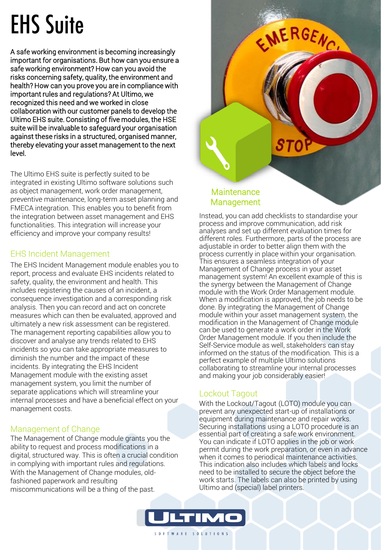# EHS Suite

A safe working environment is becoming increasingly important for organisations. But how can you ensure a safe working environment? How can you avoid the risks concerning safety, quality, the environment and health? How can you prove you are in compliance with important rules and regulations? At Ultimo, we recognized this need and we worked in close collaboration with our customer panels to develop the Ultimo EHS suite. Consisting of five modules, the HSE suite will be invaluable to safeguard your organisation against these risks in a structured, organised manner, thereby elevating your asset management to the next level.

The Ultimo EHS suite is perfectly suited to be integrated in existing Ultimo software solutions such as object management, work order management, preventive maintenance, long-term asset planning and FMECA integration. This enables you to benefit from the integration between asset management and EHS functionalities. This integration will increase your efficiency and improve your company results!

#### EHS Incident Management

The EHS Incident Management module enables you to report, process and evaluate EHS incidents related to safety, quality, the environment and health. This includes registering the causes of an incident, a consequence investigation and a corresponding risk analysis. Then you can record and act on concrete measures which can then be evaluated, approved and ultimately a new risk assessment can be registered. The management reporting capabilities allow you to discover and analyse any trends related to EHS incidents so you can take appropriate measures to diminish the number and the impact of these incidents. By integrating the EHS Incident Management module with the existing asset management system, you limit the number of separate applications which will streamline your internal processes and have a beneficial effect on your management costs.

## Management of Change

The Management of Change module grants you the ability to request and process modifications in a digital, structured way. This is often a crucial condition in complying with important rules and regulations. With the Management of Change modules, oldfashioned paperwork and resulting miscommunications will be a thing of the past.



#### **Maintenance** Management

Instead, you can add checklists to standardise your process and improve communication, add risk analyses and set up different evaluation times for different roles. Furthermore, parts of the process are adjustable in order to better align them with the process currently in place within your organisation. This ensures a seamless integration of your Management of Change process in your asset management system! An excellent example of this is the synergy between the Management of Change module with the Work Order Management module. When a modification is approved, the job needs to be done. By integrating the Management of Change module within your asset management system, the modification in the Management of Change module can be used to generate a work order in the Work Order Management module. If you then include the Self-Service module as well, stakeholders can stay informed on the status of the modification. This is a perfect example of multiple Ultimo solutions collaborating to streamline your internal processes and making your job considerably easier!

#### Lockout Tagout

With the Lockout/Tagout (LOTO) module you can prevent any unexpected start-up of installations or equipment during maintenance and repair works. Securing installations using a LOTO procedure is an essential part of creating a safe work environment. You can indicate if LOTO applies in the job or work permit during the work preparation, or even in advance when it comes to periodical maintenance activities. This indication also includes which labels and locks need to be installed to secure the object before the work starts. The labels can also be printed by using Ultimo and (special) label printers.